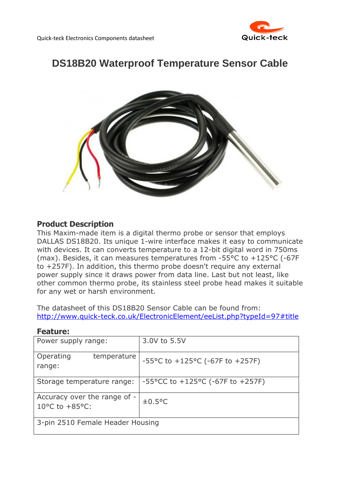

# **DS18B20 Waterproof Temperature Sensor Cable**



## **Product Description**

This Maxim-made item is a digital thermo probe or sensor that employs DALLAS DS18B20. Its unique 1-wire interface makes it easy to communicate with devices. It can converts temperature to a 12-bit digital word in 750ms (max). Besides, it can measures temperatures from -55°C to +125°C (-67F to +257F). In addition, this thermo probe doesn't require any external power supply since it draws power from data line. Last but not least, like other common thermo probe, its stainless steel probe head makes it suitable for any wet or harsh environment.

The datasheet of this DS18B20 Sensor Cable can be found from: <http://www.quick-teck.co.uk/ElectronicElement/eeList.php?typeId=97#title>

| Power supply range:                                                  | 3.0V to 5.5V                                            |
|----------------------------------------------------------------------|---------------------------------------------------------|
| Operating<br>temperature<br>range:                                   | -55°C to +125°C (-67F to +257F)                         |
| Storage temperature range:                                           | $-55^{\circ}$ CC to $+125^{\circ}$ C (-67F to $+257$ F) |
| Accuracy over the range of -<br>10 $^{\circ}$ C to +85 $^{\circ}$ C: | $\pm 0.5$ °C                                            |
| 3-pin 2510 Female Header Housing                                     |                                                         |

#### **Feature:**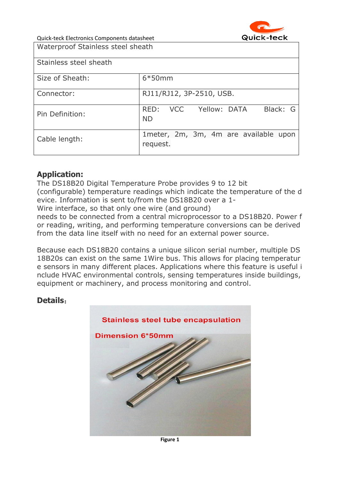

Quick-teck Electronics Components datasheet Waterproof Stainless steel sheath

| Stainless steel sheath |                                                   |
|------------------------|---------------------------------------------------|
| Size of Sheath:        | $6*50mm$                                          |
| Connector:             | RJ11/RJ12, 3P-2510, USB.                          |
| Pin Definition:        | Black: G<br>Yellow: DATA<br>RED: VCC<br><b>ND</b> |
| Cable length:          | 1meter, 2m, 3m, 4m are available upon<br>request. |

## **Application:**

The DS18B20 Digital Temperature Probe provides 9 to 12 bit (configurable) temperature readings which indicate the temperature of the d evice. Information is sent to/from the DS18B20 over a 1-

Wire interface, so that only one wire (and ground)

needs to be connected from a central microprocessor to a DS18B20. Power f or reading, writing, and performing temperature conversions can be derived from the data line itself with no need for an external power source.

Because each DS18B20 contains a unique silicon serial number, multiple DS 18B20s can exist on the same 1Wire bus. This allows for placing temperatur e sensors in many different places. Applications where this feature is useful i nclude HVAC environmental controls, sensing temperatures inside buildings, equipment or machinery, and process monitoring and control.

## **Details**: